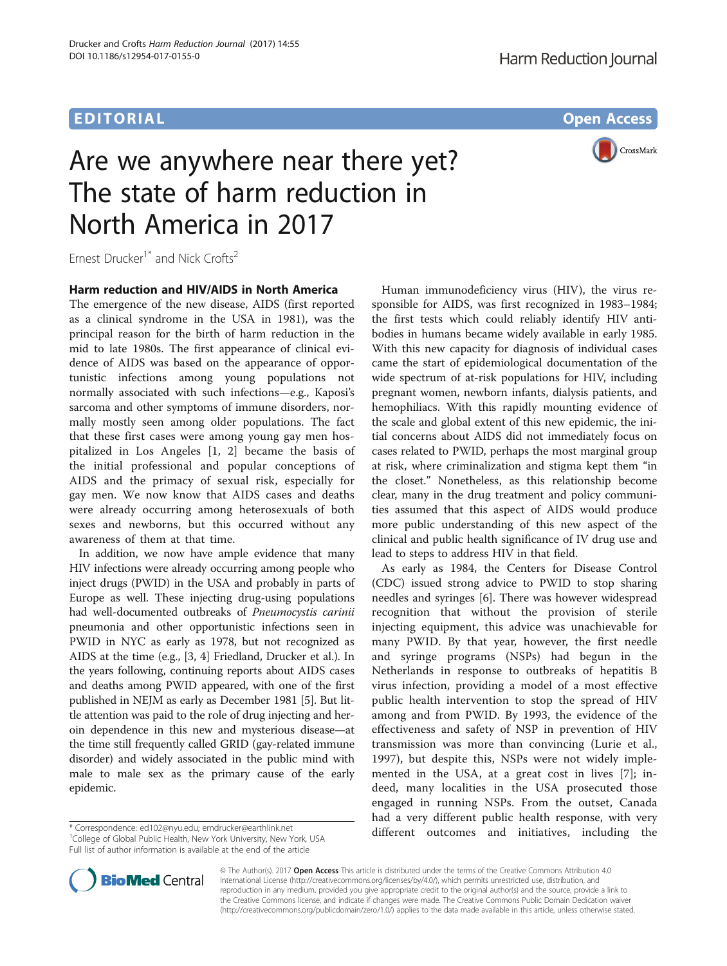## EDITORIAL AND CONTROL CONTROL CONTROL CONTROL CONTROL CONTROL CONTROL CONTROL CONTROL CONTROL CONTROL CONTROL CONTROL CONTROL CONTROL CONTROL CONTROL CONTROL CONTROL CONTROL CONTROL CONTROL CONTROL CONTROL CONTROL CONTROL

CrossMark



Ernest Drucker<sup>1\*</sup> and Nick Crofts<sup>2</sup>

## Harm reduction and HIV/AIDS in North America

The emergence of the new disease, AIDS (first reported as a clinical syndrome in the USA in 1981), was the principal reason for the birth of harm reduction in the mid to late 1980s. The first appearance of clinical evidence of AIDS was based on the appearance of opportunistic infections among young populations not normally associated with such infections—e.g., Kaposi's sarcoma and other symptoms of immune disorders, normally mostly seen among older populations. The fact that these first cases were among young gay men hospitalized in Los Angeles [[1, 2\]](#page-2-0) became the basis of the initial professional and popular conceptions of AIDS and the primacy of sexual risk, especially for gay men. We now know that AIDS cases and deaths were already occurring among heterosexuals of both sexes and newborns, but this occurred without any awareness of them at that time.

In addition, we now have ample evidence that many HIV infections were already occurring among people who inject drugs (PWID) in the USA and probably in parts of Europe as well. These injecting drug-using populations had well-documented outbreaks of Pneumocystis carinii pneumonia and other opportunistic infections seen in PWID in NYC as early as 1978, but not recognized as AIDS at the time (e.g., [\[3, 4\]](#page-2-0) Friedland, Drucker et al.). In the years following, continuing reports about AIDS cases and deaths among PWID appeared, with one of the first published in NEJM as early as December 1981 [\[5](#page-2-0)]. But little attention was paid to the role of drug injecting and heroin dependence in this new and mysterious disease—at the time still frequently called GRID (gay-related immune disorder) and widely associated in the public mind with male to male sex as the primary cause of the early epidemic.

<sup>1</sup> College of Global Public Health, New York University, New York, USA Full list of author information is available at the end of the article

Human immunodeficiency virus (HIV), the virus responsible for AIDS, was first recognized in 1983–1984; the first tests which could reliably identify HIV antibodies in humans became widely available in early 1985. With this new capacity for diagnosis of individual cases came the start of epidemiological documentation of the wide spectrum of at-risk populations for HIV, including pregnant women, newborn infants, dialysis patients, and hemophiliacs. With this rapidly mounting evidence of the scale and global extent of this new epidemic, the initial concerns about AIDS did not immediately focus on cases related to PWID, perhaps the most marginal group at risk, where criminalization and stigma kept them "in the closet." Nonetheless, as this relationship become clear, many in the drug treatment and policy communities assumed that this aspect of AIDS would produce more public understanding of this new aspect of the clinical and public health significance of IV drug use and lead to steps to address HIV in that field.

As early as 1984, the Centers for Disease Control (CDC) issued strong advice to PWID to stop sharing needles and syringes [[6\]](#page-3-0). There was however widespread recognition that without the provision of sterile injecting equipment, this advice was unachievable for many PWID. By that year, however, the first needle and syringe programs (NSPs) had begun in the Netherlands in response to outbreaks of hepatitis B virus infection, providing a model of a most effective public health intervention to stop the spread of HIV among and from PWID. By 1993, the evidence of the effectiveness and safety of NSP in prevention of HIV transmission was more than convincing (Lurie et al., 1997), but despite this, NSPs were not widely implemented in the USA, at a great cost in lives [[7](#page-3-0)]; indeed, many localities in the USA prosecuted those engaged in running NSPs. From the outset, Canada had a very different public health response, with very \* Correspondence: [ed102@nyu.edu](mailto:ed102@nyu.edu); [emdrucker@earthlink.net](mailto:emdrucker@earthlink.net) different outcomes and initiatives, including the



© The Author(s). 2017 **Open Access** This article is distributed under the terms of the Creative Commons Attribution 4.0 International License [\(http://creativecommons.org/licenses/by/4.0/](http://creativecommons.org/licenses/by/4.0/)), which permits unrestricted use, distribution, and reproduction in any medium, provided you give appropriate credit to the original author(s) and the source, provide a link to the Creative Commons license, and indicate if changes were made. The Creative Commons Public Domain Dedication waiver [\(http://creativecommons.org/publicdomain/zero/1.0/](http://creativecommons.org/publicdomain/zero/1.0/)) applies to the data made available in this article, unless otherwise stated.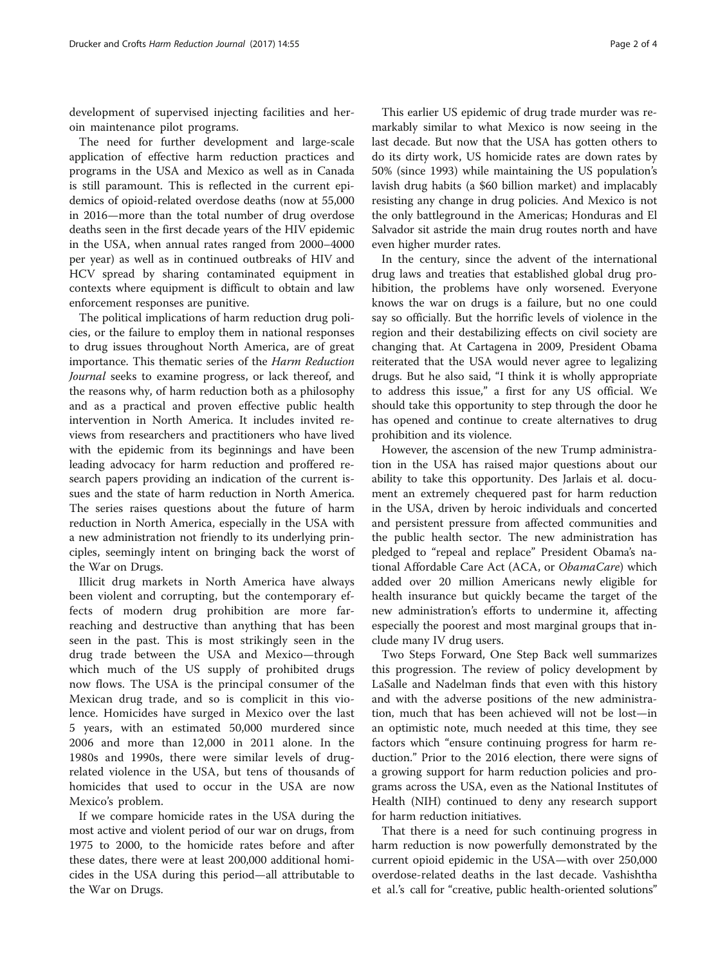development of supervised injecting facilities and heroin maintenance pilot programs.

The need for further development and large-scale application of effective harm reduction practices and programs in the USA and Mexico as well as in Canada is still paramount. This is reflected in the current epidemics of opioid-related overdose deaths (now at 55,000 in 2016—more than the total number of drug overdose deaths seen in the first decade years of the HIV epidemic in the USA, when annual rates ranged from 2000–4000 per year) as well as in continued outbreaks of HIV and HCV spread by sharing contaminated equipment in contexts where equipment is difficult to obtain and law enforcement responses are punitive.

The political implications of harm reduction drug policies, or the failure to employ them in national responses to drug issues throughout North America, are of great importance. This thematic series of the Harm Reduction Journal seeks to examine progress, or lack thereof, and the reasons why, of harm reduction both as a philosophy and as a practical and proven effective public health intervention in North America. It includes invited reviews from researchers and practitioners who have lived with the epidemic from its beginnings and have been leading advocacy for harm reduction and proffered research papers providing an indication of the current issues and the state of harm reduction in North America. The series raises questions about the future of harm reduction in North America, especially in the USA with a new administration not friendly to its underlying principles, seemingly intent on bringing back the worst of the War on Drugs.

Illicit drug markets in North America have always been violent and corrupting, but the contemporary effects of modern drug prohibition are more farreaching and destructive than anything that has been seen in the past. This is most strikingly seen in the drug trade between the USA and Mexico—through which much of the US supply of prohibited drugs now flows. The USA is the principal consumer of the Mexican drug trade, and so is complicit in this violence. Homicides have surged in Mexico over the last 5 years, with an estimated 50,000 murdered since 2006 and more than 12,000 in 2011 alone. In the 1980s and 1990s, there were similar levels of drugrelated violence in the USA, but tens of thousands of homicides that used to occur in the USA are now Mexico's problem.

If we compare homicide rates in the USA during the most active and violent period of our war on drugs, from 1975 to 2000, to the homicide rates before and after these dates, there were at least 200,000 additional homicides in the USA during this period—all attributable to the War on Drugs.

This earlier US epidemic of drug trade murder was remarkably similar to what Mexico is now seeing in the last decade. But now that the USA has gotten others to do its dirty work, US homicide rates are down rates by 50% (since 1993) while maintaining the US population's lavish drug habits (a \$60 billion market) and implacably resisting any change in drug policies. And Mexico is not the only battleground in the Americas; Honduras and El Salvador sit astride the main drug routes north and have even higher murder rates.

In the century, since the advent of the international drug laws and treaties that established global drug prohibition, the problems have only worsened. Everyone knows the war on drugs is a failure, but no one could say so officially. But the horrific levels of violence in the region and their destabilizing effects on civil society are changing that. At Cartagena in 2009, President Obama reiterated that the USA would never agree to legalizing drugs. But he also said, "I think it is wholly appropriate to address this issue," a first for any US official. We should take this opportunity to step through the door he has opened and continue to create alternatives to drug prohibition and its violence.

However, the ascension of the new Trump administration in the USA has raised major questions about our ability to take this opportunity. Des Jarlais et al. document an extremely chequered past for harm reduction in the USA, driven by heroic individuals and concerted and persistent pressure from affected communities and the public health sector. The new administration has pledged to "repeal and replace" President Obama's national Affordable Care Act (ACA, or ObamaCare) which added over 20 million Americans newly eligible for health insurance but quickly became the target of the new administration's efforts to undermine it, affecting especially the poorest and most marginal groups that include many IV drug users.

Two Steps Forward, One Step Back well summarizes this progression. The review of policy development by LaSalle and Nadelman finds that even with this history and with the adverse positions of the new administration, much that has been achieved will not be lost—in an optimistic note, much needed at this time, they see factors which "ensure continuing progress for harm reduction." Prior to the 2016 election, there were signs of a growing support for harm reduction policies and programs across the USA, even as the National Institutes of Health (NIH) continued to deny any research support for harm reduction initiatives.

That there is a need for such continuing progress in harm reduction is now powerfully demonstrated by the current opioid epidemic in the USA—with over 250,000 overdose-related deaths in the last decade. Vashishtha et al.'s call for "creative, public health-oriented solutions"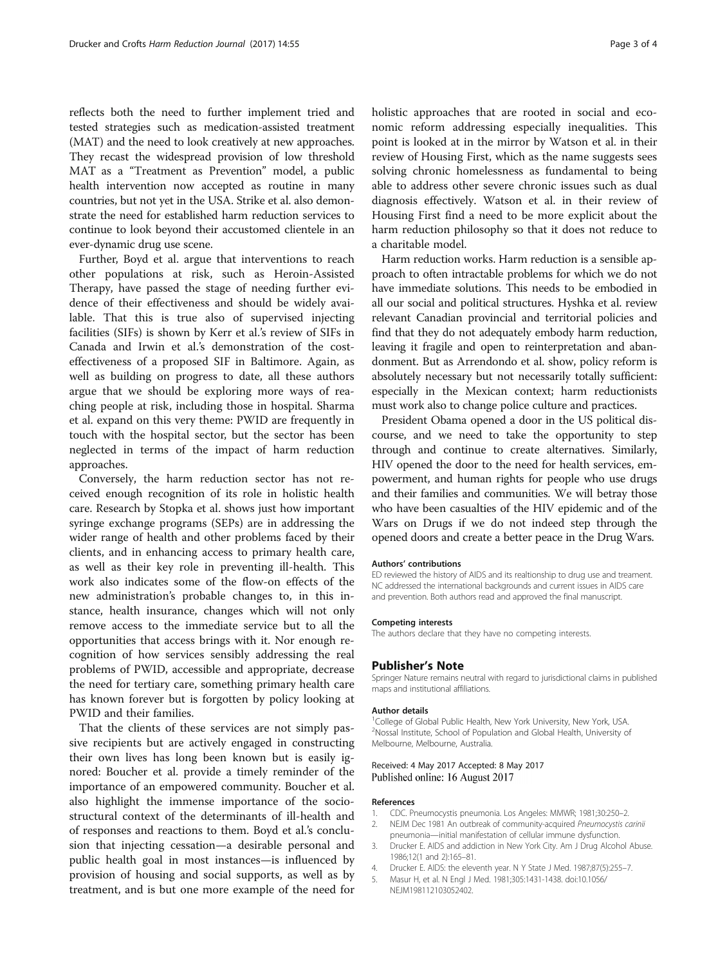<span id="page-2-0"></span>reflects both the need to further implement tried and tested strategies such as medication-assisted treatment (MAT) and the need to look creatively at new approaches. They recast the widespread provision of low threshold MAT as a "Treatment as Prevention" model, a public health intervention now accepted as routine in many countries, but not yet in the USA. Strike et al. also demonstrate the need for established harm reduction services to continue to look beyond their accustomed clientele in an ever-dynamic drug use scene.

Further, Boyd et al. argue that interventions to reach other populations at risk, such as Heroin-Assisted Therapy, have passed the stage of needing further evidence of their effectiveness and should be widely available. That this is true also of supervised injecting facilities (SIFs) is shown by Kerr et al.'s review of SIFs in Canada and Irwin et al.'s demonstration of the costeffectiveness of a proposed SIF in Baltimore. Again, as well as building on progress to date, all these authors argue that we should be exploring more ways of reaching people at risk, including those in hospital. Sharma et al. expand on this very theme: PWID are frequently in touch with the hospital sector, but the sector has been neglected in terms of the impact of harm reduction approaches.

Conversely, the harm reduction sector has not received enough recognition of its role in holistic health care. Research by Stopka et al. shows just how important syringe exchange programs (SEPs) are in addressing the wider range of health and other problems faced by their clients, and in enhancing access to primary health care, as well as their key role in preventing ill-health. This work also indicates some of the flow-on effects of the new administration's probable changes to, in this instance, health insurance, changes which will not only remove access to the immediate service but to all the opportunities that access brings with it. Nor enough recognition of how services sensibly addressing the real problems of PWID, accessible and appropriate, decrease the need for tertiary care, something primary health care has known forever but is forgotten by policy looking at PWID and their families.

That the clients of these services are not simply passive recipients but are actively engaged in constructing their own lives has long been known but is easily ignored: Boucher et al. provide a timely reminder of the importance of an empowered community. Boucher et al. also highlight the immense importance of the sociostructural context of the determinants of ill-health and of responses and reactions to them. Boyd et al.'s conclusion that injecting cessation—a desirable personal and public health goal in most instances—is influenced by provision of housing and social supports, as well as by treatment, and is but one more example of the need for holistic approaches that are rooted in social and economic reform addressing especially inequalities. This point is looked at in the mirror by Watson et al. in their review of Housing First, which as the name suggests sees solving chronic homelessness as fundamental to being able to address other severe chronic issues such as dual diagnosis effectively. Watson et al. in their review of Housing First find a need to be more explicit about the harm reduction philosophy so that it does not reduce to a charitable model.

Harm reduction works. Harm reduction is a sensible approach to often intractable problems for which we do not have immediate solutions. This needs to be embodied in all our social and political structures. Hyshka et al. review relevant Canadian provincial and territorial policies and find that they do not adequately embody harm reduction, leaving it fragile and open to reinterpretation and abandonment. But as Arrendondo et al. show, policy reform is absolutely necessary but not necessarily totally sufficient: especially in the Mexican context; harm reductionists must work also to change police culture and practices.

President Obama opened a door in the US political discourse, and we need to take the opportunity to step through and continue to create alternatives. Similarly, HIV opened the door to the need for health services, empowerment, and human rights for people who use drugs and their families and communities. We will betray those who have been casualties of the HIV epidemic and of the Wars on Drugs if we do not indeed step through the opened doors and create a better peace in the Drug Wars.

#### Authors' contributions

ED reviewed the history of AIDS and its realtionship to drug use and treament. NC addressed the international backgrounds and current issues in AIDS care and prevention. Both authors read and approved the final manuscript.

#### Competing interests

The authors declare that they have no competing interests.

#### Publisher's Note

Springer Nature remains neutral with regard to jurisdictional claims in published maps and institutional affiliations.

#### Author details

<sup>1</sup>College of Global Public Health, New York University, New York, USA <sup>2</sup>Nossal Institute, School of Population and Global Health, University of Melbourne, Melbourne, Australia.

### Received: 4 May 2017 Accepted: 8 May 2017 Published online: 16 August 2017

### References

- 1. CDC. Pneumocystis pneumonia. Los Angeles: MMWR; 1981;30:250–2. 2. NEJM Dec 1981 An outbreak of community-acquired Pneumocystis carinii
- pneumonia—initial manifestation of cellular immune dysfunction.
- 3. Drucker E. AIDS and addiction in New York City. Am J Drug Alcohol Abuse. 1986;12(1 and 2):165–81.
- 4. Drucker E. AIDS: the eleventh year. N Y State J Med. 1987;87(5):255–7.
- 5. Masur H, et al. N Engl J Med. 1981;305:1431-1438. doi:[10.1056/](http://dx.doi.org/10.1056/NEJM198112103052402) [NEJM198112103052402.](http://dx.doi.org/10.1056/NEJM198112103052402)